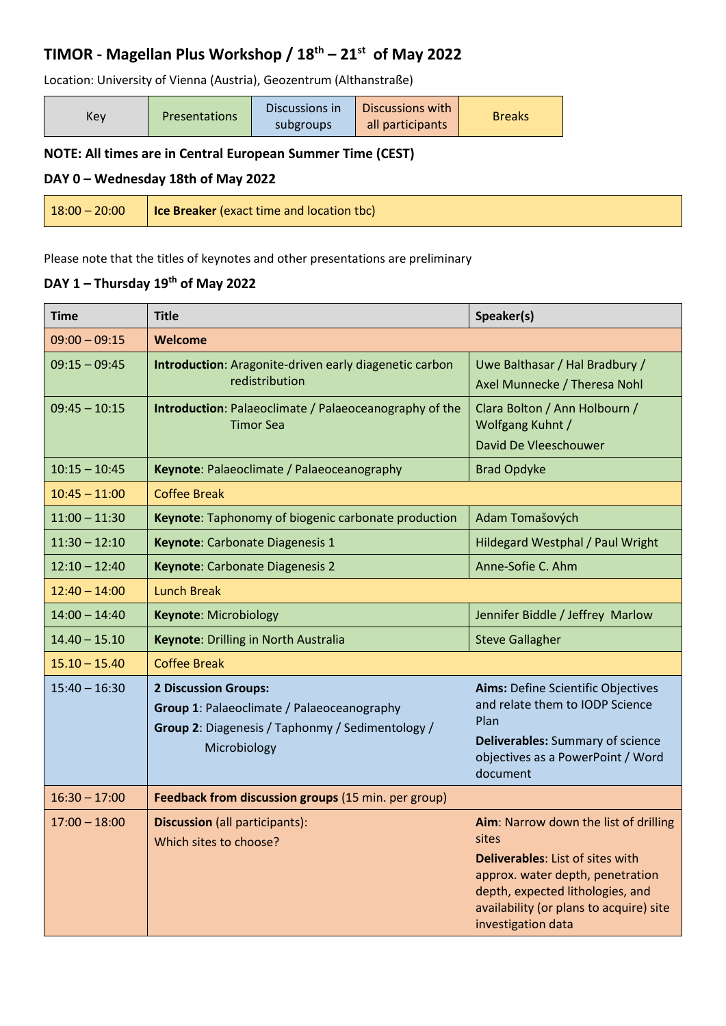## **TIMOR - Magellan Plus Workshop / 18th – 21st of May 2022**

Location: University of Vienna (Austria), Geozentrum (Althanstraße)

| Key | <b>Presentations</b> | Discussions in<br>subgroups | Discussions with<br>all participants | <b>Breaks</b> |
|-----|----------------------|-----------------------------|--------------------------------------|---------------|
|-----|----------------------|-----------------------------|--------------------------------------|---------------|

### **NOTE: All times are in Central European Summer Time (CEST)**

#### **DAY 0 – Wednesday 18th of May 2022**

| $18:00 - 20:00$ | <b>Ice Breaker</b> (exact time and location tbc) |
|-----------------|--------------------------------------------------|
|-----------------|--------------------------------------------------|

Please note that the titles of keynotes and other presentations are preliminary

#### **DAY 1 – Thursday 19 th of May 2022**

| <b>Time</b>     | <b>Title</b>                                                                                                                                  | Speaker(s)                                                                                                                                                                                                                         |  |
|-----------------|-----------------------------------------------------------------------------------------------------------------------------------------------|------------------------------------------------------------------------------------------------------------------------------------------------------------------------------------------------------------------------------------|--|
| $09:00 - 09:15$ | Welcome                                                                                                                                       |                                                                                                                                                                                                                                    |  |
| $09:15 - 09:45$ | Introduction: Aragonite-driven early diagenetic carbon<br>redistribution                                                                      | Uwe Balthasar / Hal Bradbury /<br>Axel Munnecke / Theresa Nohl                                                                                                                                                                     |  |
| $09:45 - 10:15$ | Introduction: Palaeoclimate / Palaeoceanography of the<br><b>Timor Sea</b>                                                                    | Clara Bolton / Ann Holbourn /<br>Wolfgang Kuhnt /<br>David De Vleeschouwer                                                                                                                                                         |  |
| $10:15 - 10:45$ | Keynote: Palaeoclimate / Palaeoceanography                                                                                                    | <b>Brad Opdyke</b>                                                                                                                                                                                                                 |  |
| $10:45 - 11:00$ | <b>Coffee Break</b>                                                                                                                           |                                                                                                                                                                                                                                    |  |
| $11:00 - 11:30$ | Keynote: Taphonomy of biogenic carbonate production                                                                                           | Adam Tomašových                                                                                                                                                                                                                    |  |
| $11:30 - 12:10$ | Keynote: Carbonate Diagenesis 1                                                                                                               | Hildegard Westphal / Paul Wright                                                                                                                                                                                                   |  |
| $12:10 - 12:40$ | Keynote: Carbonate Diagenesis 2                                                                                                               | Anne-Sofie C. Ahm                                                                                                                                                                                                                  |  |
| $12:40 - 14:00$ | <b>Lunch Break</b>                                                                                                                            |                                                                                                                                                                                                                                    |  |
| $14:00 - 14:40$ | <b>Keynote: Microbiology</b>                                                                                                                  | Jennifer Biddle / Jeffrey Marlow                                                                                                                                                                                                   |  |
| $14.40 - 15.10$ | Keynote: Drilling in North Australia                                                                                                          | <b>Steve Gallagher</b>                                                                                                                                                                                                             |  |
| $15.10 - 15.40$ | <b>Coffee Break</b>                                                                                                                           |                                                                                                                                                                                                                                    |  |
| $15:40 - 16:30$ | <b>2 Discussion Groups:</b><br>Group 1: Palaeoclimate / Palaeoceanography<br>Group 2: Diagenesis / Taphonmy / Sedimentology /<br>Microbiology | <b>Aims: Define Scientific Objectives</b><br>and relate them to IODP Science<br>Plan<br>Deliverables: Summary of science<br>objectives as a PowerPoint / Word<br>document                                                          |  |
| $16:30 - 17:00$ | Feedback from discussion groups (15 min. per group)                                                                                           |                                                                                                                                                                                                                                    |  |
| $17:00 - 18:00$ | <b>Discussion</b> (all participants):<br>Which sites to choose?                                                                               | Aim: Narrow down the list of drilling<br>sites<br><b>Deliverables: List of sites with</b><br>approx. water depth, penetration<br>depth, expected lithologies, and<br>availability (or plans to acquire) site<br>investigation data |  |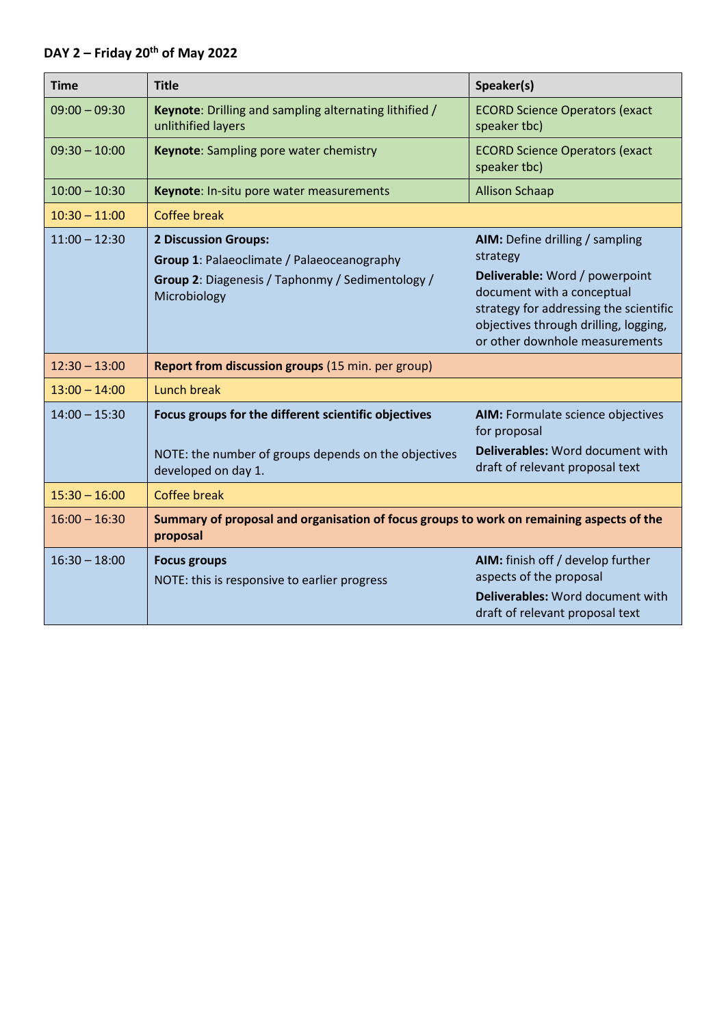# **DAY 2 – Friday 20th of May 2022**

| <b>Time</b>     | <b>Title</b>                                                                                                                                  | Speaker(s)                                                                                                                                                                                                                       |
|-----------------|-----------------------------------------------------------------------------------------------------------------------------------------------|----------------------------------------------------------------------------------------------------------------------------------------------------------------------------------------------------------------------------------|
| $09:00 - 09:30$ | Keynote: Drilling and sampling alternating lithified /<br>unlithified layers                                                                  | <b>ECORD Science Operators (exact</b><br>speaker tbc)                                                                                                                                                                            |
| $09:30 - 10:00$ | Keynote: Sampling pore water chemistry                                                                                                        | <b>ECORD Science Operators (exact</b><br>speaker tbc)                                                                                                                                                                            |
| $10:00 - 10:30$ | Keynote: In-situ pore water measurements                                                                                                      | <b>Allison Schaap</b>                                                                                                                                                                                                            |
| $10:30 - 11:00$ | <b>Coffee break</b>                                                                                                                           |                                                                                                                                                                                                                                  |
| $11:00 - 12:30$ | <b>2 Discussion Groups:</b><br>Group 1: Palaeoclimate / Palaeoceanography<br>Group 2: Diagenesis / Taphonmy / Sedimentology /<br>Microbiology | AIM: Define drilling / sampling<br>strategy<br>Deliverable: Word / powerpoint<br>document with a conceptual<br>strategy for addressing the scientific<br>objectives through drilling, logging,<br>or other downhole measurements |
| $12:30 - 13:00$ | Report from discussion groups (15 min. per group)                                                                                             |                                                                                                                                                                                                                                  |
| $13:00 - 14:00$ | Lunch break                                                                                                                                   |                                                                                                                                                                                                                                  |
| $14:00 - 15:30$ | Focus groups for the different scientific objectives<br>NOTE: the number of groups depends on the objectives<br>developed on day 1.           | AIM: Formulate science objectives<br>for proposal<br>Deliverables: Word document with<br>draft of relevant proposal text                                                                                                         |
| $15:30 - 16:00$ | <b>Coffee break</b>                                                                                                                           |                                                                                                                                                                                                                                  |
| $16:00 - 16:30$ | Summary of proposal and organisation of focus groups to work on remaining aspects of the<br>proposal                                          |                                                                                                                                                                                                                                  |
| $16:30 - 18:00$ | <b>Focus groups</b><br>NOTE: this is responsive to earlier progress                                                                           | AIM: finish off / develop further<br>aspects of the proposal<br>Deliverables: Word document with<br>draft of relevant proposal text                                                                                              |